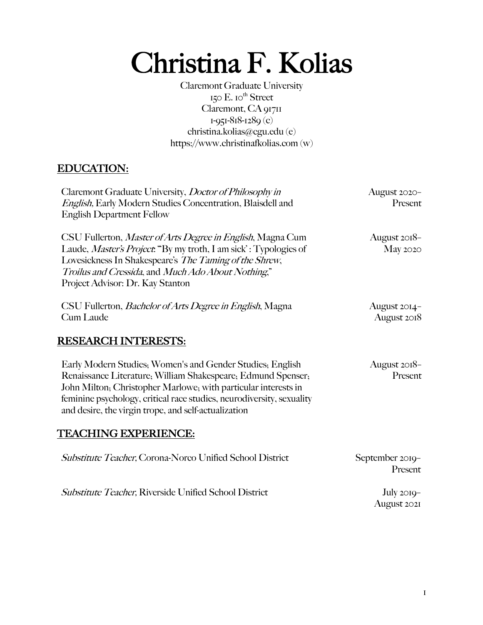# Christina F. Kolias

Claremont Graduate University  $150$  E.  $10$ <sup>th</sup> Street Claremont, CA 91711 1-951-818-1289 (c) christina.kolias@cgu.edu (e) https://www.christinafkolias.com (w)

## EDUCATION:

| Claremont Graduate University, Doctor of Philosophy in<br>English, Early Modern Studies Concentration, Blaisdell and<br><b>English Department Fellow</b>                                                                                                                                                                     | August 2020-<br>Present     |
|------------------------------------------------------------------------------------------------------------------------------------------------------------------------------------------------------------------------------------------------------------------------------------------------------------------------------|-----------------------------|
| CSU Fullerton, Master of Arts Degree in English, Magna Cum<br>Laude, Master's Project: "By my troth, I am sick': Typologies of<br>Lovesickness In Shakespeare's The Taming of the Shrew,<br>Troilus and Cressida, and Much Ado About Nothing,"<br>Project Advisor: Dr. Kay Stanton                                           | August 2018-<br>May 2020    |
| CSU Fullerton, <i>Bachelor of Arts Degree in English</i> , Magna<br>Cum Laude                                                                                                                                                                                                                                                | August 2014-<br>August 2018 |
| <b>RESEARCH INTERESTS:</b>                                                                                                                                                                                                                                                                                                   |                             |
| Early Modern Studies, Women's and Gender Studies, English<br>Renaissance Literature; William Shakespeare; Edmund Spenser;<br>John Milton, Christopher Marlowe, with particular interests in<br>feminine psychology, critical race studies, neurodiversity, sexuality<br>and desire, the virgin trope, and self-actualization | August 2018-<br>Present     |
| <b>TEACHING EXPERIENCE:</b>                                                                                                                                                                                                                                                                                                  |                             |
| Substitute Teacher, Corona-Norco Unified School District                                                                                                                                                                                                                                                                     | September 2019-<br>Present  |
| <b>Substitute Teacher, Riverside Unified School District</b>                                                                                                                                                                                                                                                                 | $July 2019-$<br>August 2021 |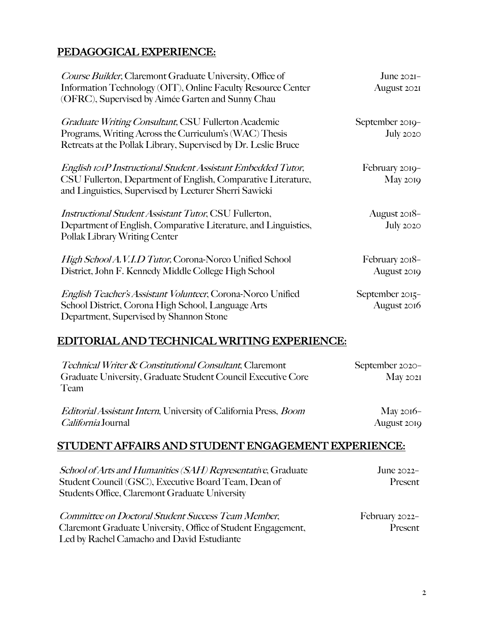## PEDAGOGICAL EXPERIENCE:

| Course Builder, Claremont Graduate University, Office of<br>Information Technology (OIT), Online Faculty Resource Center<br>(OFRC), Supervised by Aimée Garten and Sunny Chau           | June $202I-$<br>August 2021      |
|-----------------------------------------------------------------------------------------------------------------------------------------------------------------------------------------|----------------------------------|
| <b>Graduate Writing Consultant, CSU Fullerton Academic</b><br>Programs, Writing Across the Curriculum's (WAC) Thesis<br>Retreats at the Pollak Library, Supervised by Dr. Leslie Bruce  | September 2019-<br>July $2020$   |
| English rorP Instructional Student Assistant Embedded Tutor,<br>CSU Fullerton, Department of English, Comparative Literature,<br>and Linguistics, Supervised by Lecturer Sherri Sawicki | February 2019-<br>May 2019       |
| <i>Instructional Student Assistant Tutor</i> , CSU Fullerton,<br>Department of English, Comparative Literature, and Linguistics,<br>Pollak Library Writing Center                       | August 2018-<br><b>July 2020</b> |
| High School A.V.I.D Tutor, Corona-Noreo Unified School<br>District, John F. Kennedy Middle College High School                                                                          | February 2018-<br>August 2019    |
| English Teacher's Assistant Volunteer, Corona-Norco Unified<br>School District, Corona High School, Language Arts<br>Department, Supervised by Shannon Stone                            | September 2015-<br>August 2016   |

## EDITORIAL AND TECHNICAL WRITING EXPERIENCE:

| <i>Technical Writer &amp; Constitutional Consultant, Claremont</i>              | September 2020-    |
|---------------------------------------------------------------------------------|--------------------|
| Graduate University, Graduate Student Council Executive Core                    | $\text{Mav } 2021$ |
| Team                                                                            |                    |
| <i>Editorial Assistant Intern</i> , University of California Press, <i>Boom</i> | May $2016-$        |
| <i>California</i> Journal                                                       | August 2019        |

## STUDENT AFFAIRS AND STUDENT ENGAGEMENT EXPERIENCE:

| School of Arts and Humanities (SAH) Representative, Graduate<br>Student Council (GSC), Executive Board Team, Dean of<br>Students Office, Claremont Graduate University | June $2022-$<br>Present   |
|------------------------------------------------------------------------------------------------------------------------------------------------------------------------|---------------------------|
| Committee on Doctoral Student Success Team Member,<br>Claremont Graduate University, Office of Student Engagement,<br>Led by Rachel Camacho and David Estudiante       | February 2022-<br>Present |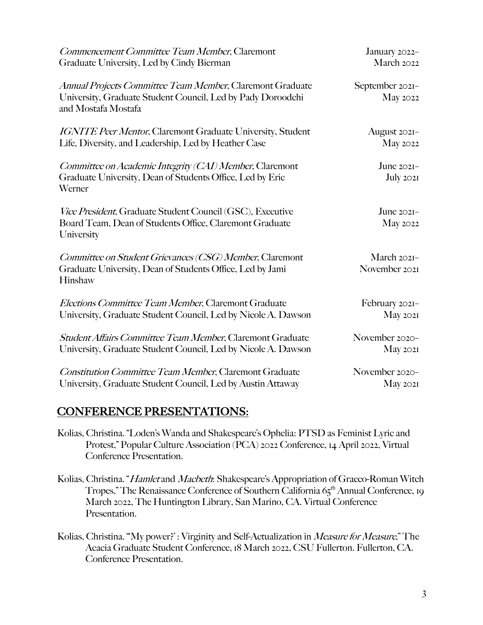| Commencement Committee Team Member, Claremont                                                                                                   | January 2022-                |
|-------------------------------------------------------------------------------------------------------------------------------------------------|------------------------------|
| Graduate University, Led by Cindy Bierman                                                                                                       | March 2022                   |
| Annual Projects Committee Team Member, Claremont Graduate<br>University, Graduate Student Council, Led by Pady Doroodchi<br>and Mostafa Mostafa | September 2021-<br>May 2022  |
| <b>IGNITE Peer Mentor, Claremont Graduate University, Student</b>                                                                               | August 2021-                 |
| Life, Diversity, and Leadership, Led by Heather Case                                                                                            | May 2022                     |
| Committee on Academic Integrity (CAI) Member, Claremont<br>Graduate University, Dean of Students Office, Led by Eric<br>Werner                  | June 2021-<br>July 2021      |
| Vice President, Graduate Student Council (GSC), Executive<br>Board Team, Dean of Students Office, Claremont Graduate<br>University              | June $202I-$<br>May 2022     |
| Committee on Student Grievances (CSG) Member, Claremont<br>Graduate University, Dean of Students Office, Led by Jami<br>Hinshaw                 | March 2021-<br>November 2021 |
| Elections Committee Team Member, Claremont Graduate                                                                                             | February 2021-               |
| University, Graduate Student Council, Led by Nicole A. Dawson                                                                                   | May 2021                     |
| Student Affairs Committee Team Member, Claremont Graduate                                                                                       | November 2020-               |
| University, Graduate Student Council, Led by Nicole A. Dawson                                                                                   | <b>May 2021</b>              |
| <b>Constitution Committee Team Member, Claremont Graduate</b>                                                                                   | November 2020-               |
| University, Graduate Student Council, Led by Austin Attaway                                                                                     | <b>May 2021</b>              |

## CONFERENCE PRESENTATIONS:

- Kolias, Christina. "Loden's Wanda and Shakespeare's Ophelia: PTSD as Feminist Lyric and Protest," Popular Culture Association (PCA) 2022 Conference, 14 April 2022, Virtual Conference Presentation.
- Kolias, Christina. "Hamlet and Macbeth: Shakespeare's Appropriation of Graeco-Roman Witch Tropes," The Renaissance Conference of Southern California 65<sup>th</sup> Annual Conference, 19 March 2022, The Huntington Library, San Marino, CA. Virtual Conference Presentation.
- Kolias, Christina. "'My power?' : Virginity and Self-Actualization in *Measure for Measure*," The Acacia Graduate Student Conference, 18 March 2022, CSU Fullerton. Fullerton, CA. Conference Presentation.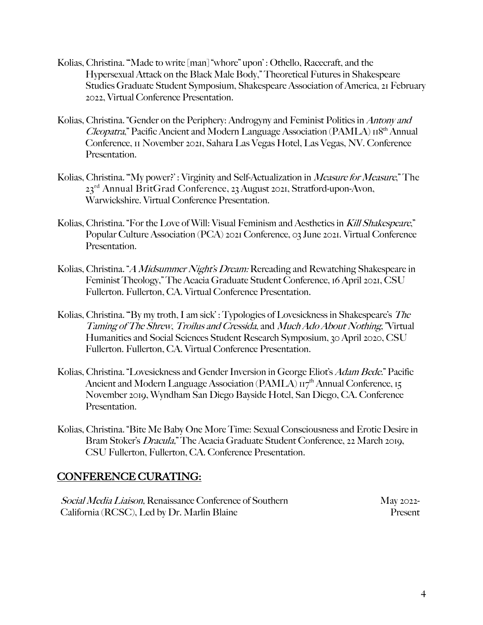- Kolias, Christina. "'Made to write [man] "whore" upon' : Othello, Racecraft, and the Hypersexual Attack on the Black Male Body," Theoretical Futures in Shakespeare Studies Graduate Student Symposium, Shakespeare Association of America, 21 February 2022, Virtual Conference Presentation.
- Kolias, Christina. "Gender on the Periphery: Androgyny and Feminist Politics in Antony and Cleopatra," Pacific Ancient and Modern Language Association (PAMLA)  $\text{H}^{\text{8th}}$  Annual Conference, 11 November 2021, Sahara Las Vegas Hotel, Las Vegas, NV. Conference Presentation.
- Kolias, Christina. ""My power?': Virginity and Self-Actualization in *Measure for Measure*," The 23rd Annual BritGrad Conference, 23 August 2021, Stratford-upon-Avon, Warwickshire. Virtual Conference Presentation.
- Kolias, Christina. "For the Love of Will: Visual Feminism and Aesthetics in Kill Shakespeare," Popular Culture Association (PCA) 2021 Conference, 03 June 2021. Virtual Conference Presentation.
- Kolias, Christina. "A Midsummer Night's Dream: Rereading and Rewatching Shakespeare in Feminist Theology," The Acacia Graduate Student Conference, 16 April 2021, CSU Fullerton. Fullerton, CA. Virtual Conference Presentation.
- Kolias, Christina. "By my troth, I am sick': Typologies of Lovesickness in Shakespeare's The Taming of The Shrew, Troilus and Cressida, and Much Ado About Nothing," Virtual Humanities and Social Sciences Student Research Symposium, 30 April 2020, CSU Fullerton. Fullerton, CA. Virtual Conference Presentation.
- Kolias, Christina. "Lovesickness and Gender Inversion in George Eliot's *Adam Bede.*" Pacific Ancient and Modern Language Association (PAMLA)  $\overline{H}^{th}$  Annual Conference, 15 November 2019, Wyndham San Diego Bayside Hotel, San Diego, CA. Conference Presentation.
- Kolias, Christina. "Bite Me Baby One More Time: Sexual Consciousness and Erotic Desire in Bram Stoker's Dracula," The Acacia Graduate Student Conference, 22 March 2019, CSU Fullerton, Fullerton, CA. Conference Presentation.

#### CONFERENCE CURATING:

| <i>Social Media Liaison</i> , Renaissance Conference of Southern | May 2022- |
|------------------------------------------------------------------|-----------|
| California (RCSC), Led by Dr. Marlin Blaine                      | Present   |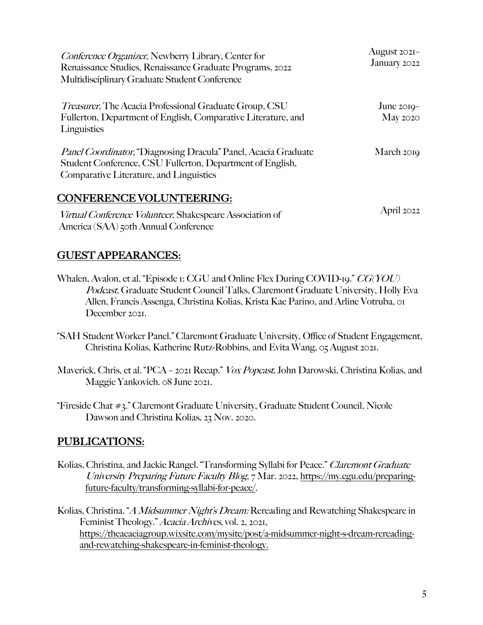| Conference Organizer, Newberry Library, Center for<br>Renaissance Studies, Renaissance Graduate Programs, 2022<br>Multidisciplinary Graduate Student Conference                | August 2021-<br>January 2022 |
|--------------------------------------------------------------------------------------------------------------------------------------------------------------------------------|------------------------------|
| <i>Treasurer</i> , The Acacia Professional Graduate Group, CSU<br>Fullerton, Department of English, Comparative Literature, and<br>Linguistics                                 | June $2019-$<br>May 2020     |
| <i>Panel Coordinator</i> , "Diagnosing Dracula" Panel, Acacia Graduate<br>Student Conference, CSU Fullerton, Department of English,<br>Comparative Literature, and Linguistics | March 2019                   |
| <b>CONFERENCE VOLUNTEERING:</b><br>Virtual Conference Volunteer, Shakespeare Association of<br>America (SAA) 50th Annual Conference                                            | April $2022$                 |

#### GUEST APPEARANCES:

- Whalen, Avalon, et al. "Episode 1: CGU and Online Flex During COVID-19." CG(YOU) Podcast, Graduate Student Council Talks, Claremont Graduate University, Holly Eva Allen, Francis Assenga, Christina Kolias, Krista Kae Parino, and Arline Votruba, 01 December 2021.
- "SAH Student Worker Panel." Claremont Graduate University, Office of Student Engagement, Christina Kolias, Katherine Rutz-Robbins, and Evita Wang, 05 August 2021.
- Maverick, Chris, et al. "PCA 2021 Recap." Vox Popcast, John Darowski, Christina Kolias, and Maggie Yankovich. 08 June 2021.
- "Fireside Chat #3." Claremont Graduate University, Graduate Student Council, Nicole Dawson and Christina Kolias, 23 Nov. 2020.

## PUBLICATIONS:

Kolias, Christina, and Jackie Rangel. "Transforming Syllabi for Peace." Claremont Graduate University Preparing Future Faculty Blog, 7 Mar. 2022, https://my.cgu.edu/preparingfuture-faculty/transforming-syllabi-for-peace/.

Kolias, Christina. "A Midsummer Night's Dream: Rereading and Rewatching Shakespeare in Feminist Theology." Acacia Archives, vol. 2, 2021, https://theacaciagroup.wixsite.com/mysite/post/a-midsummer-night-s-dream-rereadingand-rewatching-shakespeare-in-feminist-theology.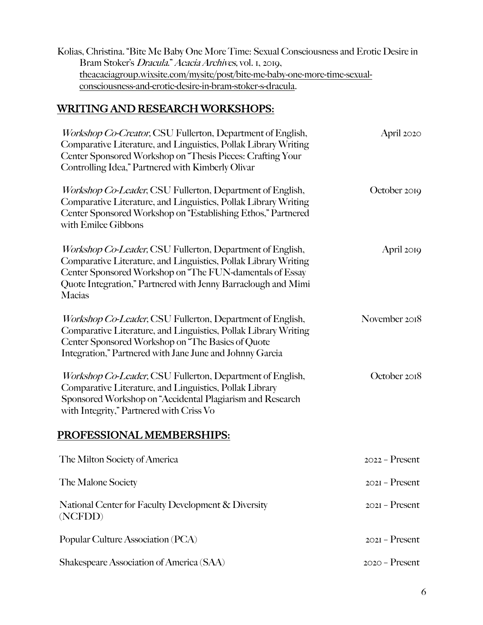| Kolias, Christina. "Bite Me Baby One More Time: Sexual Consciousness and Erotic Desire in |  |
|-------------------------------------------------------------------------------------------|--|
| Bram Stoker's <i>Dracula." Acacia Archives</i> , vol. 1, 2019,                            |  |
| theacaciagroup.wixsite.com/mysite/post/bite-me-baby-one-more-time-sexual-                 |  |
| consciousness-and-erotic-desire-in-bram-stoker-s-dracula.                                 |  |

## WRITING AND RESEARCH WORKSHOPS:

| Workshop Co-Creator, CSU Fullerton, Department of English,<br>Comparative Literature, and Linguistics, Pollak Library Writing<br>Center Sponsored Workshop on "Thesis Pieces: Crafting Your<br>Controlling Idea," Partnered with Kimberly Olivar                            | April 2020       |
|-----------------------------------------------------------------------------------------------------------------------------------------------------------------------------------------------------------------------------------------------------------------------------|------------------|
| <i>Workshop Co-Leader</i> , CSU Fullerton, Department of English,<br>Comparative Literature, and Linguistics, Pollak Library Writing<br>Center Sponsored Workshop on "Establishing Ethos," Partnered<br>with Emilee Gibbons                                                 | October 2019     |
| <i>Workshop Co-Leader</i> , CSU Fullerton, Department of English,<br>Comparative Literature, and Linguistics, Pollak Library Writing<br>Center Sponsored Workshop on "The FUN-damentals of Essay<br>Quote Integration," Partnered with Jenny Barraclough and Mimi<br>Macias | April 2019       |
| <i>Workshop Co-Leader</i> , CSU Fullerton, Department of English,<br>Comparative Literature, and Linguistics, Pollak Library Writing<br>Center Sponsored Workshop on "The Basics of Quote<br>Integration," Partnered with Jane June and Johnny Garcia                       | November 2018    |
| <i>Workshop Co-Leader</i> , CSU Fullerton, Department of English,<br>Comparative Literature, and Linguistics, Pollak Library<br>Sponsored Workshop on "Accidental Plagiarism and Research<br>with Integrity," Partnered with Criss Vo                                       | October 2018     |
| PROFESSIONAL MEMBERSHIPS:                                                                                                                                                                                                                                                   |                  |
| The Milton Society of America                                                                                                                                                                                                                                               | $2022 -$ Present |
| The Malone Society                                                                                                                                                                                                                                                          | $202I - Present$ |
| National Center for Faculty Development & Diversity<br>(NCFDD)                                                                                                                                                                                                              | $202I - Present$ |
| Popular Culture Association (PCA)                                                                                                                                                                                                                                           | $202I - Present$ |
| Shakespeare Association of America (SAA)                                                                                                                                                                                                                                    | $2020 -$ Present |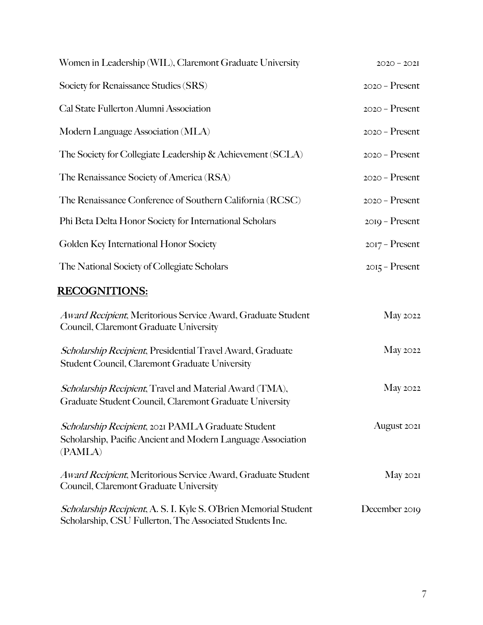| Women in Leadership (WIL), Claremont Graduate University   | $2020 - 202I$    |
|------------------------------------------------------------|------------------|
| Society for Renaissance Studies (SRS)                      | $2020 -$ Present |
| Cal State Fullerton Alumni Association                     | $2020 -$ Present |
| Modern Language Association (MLA)                          | $2020 -$ Present |
| The Society for Collegiate Leadership & Achievement (SCLA) | $2020 -$ Present |
| The Renaissance Society of America (RSA)                   | $2020 -$ Present |
| The Renaissance Conference of Southern California (RCSC)   | $2020 -$ Present |
| Phi Beta Delta Honor Society for International Scholars    | $2019 -$ Present |
| Golden Key International Honor Society                     | $2017 -$ Present |
| The National Society of Collegiate Scholars                | $2015 -$ Present |
| <b>DECOONITE ONIC</b>                                      |                  |

#### RECOGNITIONS:

| Award Recipient, Meritorious Service Award, Graduate Student<br>Council, Claremont Graduate University                        | May 2022           |
|-------------------------------------------------------------------------------------------------------------------------------|--------------------|
| Scholarship Recipient, Presidential Travel Award, Graduate<br><b>Student Council, Claremont Graduate University</b>           | May 2022           |
| <i>Scholarship Recipient</i> , Travel and Material Award (TMA),<br>Graduate Student Council, Claremont Graduate University    | May 2022           |
| Scholarship Recipient, 2021 PAMLA Graduate Student<br>Scholarship, Pacific Ancient and Modern Language Association<br>(PAMLA) | August 2021        |
| Award Recipient, Meritorious Service Award, Graduate Student<br>Council, Claremont Graduate University                        | $\text{May } 2021$ |
| Scholarship Recipient, A. S. I. Kyle S. O'Brien Memorial Student<br>Scholarship, CSU Fullerton, The Associated Students Inc.  | December 2019      |